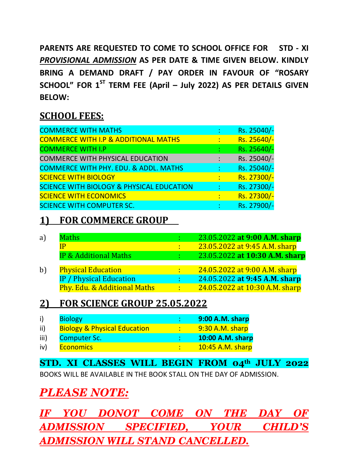**PARENTS ARE REQUESTED TO COME TO SCHOOL OFFICE FOR STD - XI**  *PROVISIONAL ADMISSION* **AS PER DATE & TIME GIVEN BELOW. KINDLY BRING A DEMAND DRAFT / PAY ORDER IN FAVOUR OF "ROSARY SCHOOL" FOR 1ST TERM FEE (April – July 2022) AS PER DETAILS GIVEN BELOW:** 

## **SCHOOL FEES:**

|   | Rs. 25040/- |
|---|-------------|
| ÷ | Rs. 25640/- |
|   | Rs. 25640/- |
|   | Rs. 25040/- |
|   | Rs. 25040/- |
|   | Rs. 27300/- |
|   | Rs. 27300/- |
|   | Rs. 27300/- |
|   | Rs. 27900/- |
|   |             |

## **1) FOR COMMERCE GROUP**

| a)           | <b>Maths</b>                     |              | 23.05.2022 at 9:00 A.M. sharp  |
|--------------|----------------------------------|--------------|--------------------------------|
|              | IP                               | t i          | 23.05.2022 at 9:45 A.M. sharp  |
|              | <b>IP &amp; Additional Maths</b> | $\sim 100$   | 23.05.2022 at 10:30 A.M. sharp |
|              |                                  |              |                                |
| $\mathbf{b}$ | <b>Physical Education</b>        | $\mathbf{L}$ | 24.05.2022 at 9:00 A.M. sharp  |
|              | <b>IP</b> / Physical Education   |              | 24.05.2022 at 9:45 A.M. sharp  |
|              | Phy. Edu. & Additional Maths     | $\mathbf{L}$ | 24.05.2022 at 10:30 A.M. sharp |
|              |                                  |              |                                |

## **2) FOR SCIENCE GROUP 25.05.2022**

| i)   | <b>Biology</b>                          | 9:00 A.M. sharp  |
|------|-----------------------------------------|------------------|
| ii)  | <b>Biology &amp; Physical Education</b> | 9:30 A.M. sharp  |
| iii) | <b>Computer Sc.</b>                     | 10:00 A.M. sharp |
| iv)  | <b>Economics</b>                        | 10:45 A.M. sharp |

**STD. XI CLASSES WILL BEGIN FROM 04th JULY 2022**  BOOKS WILL BE AVAILABLE IN THE BOOK STALL ON THE DAY OF ADMISSION.

## *PLEASE NOTE:*

*IF YOU DONOT COME ON THE DAY OF ADMISSION SPECIFIED, YOUR CHILD'S ADMISSION WILL STAND CANCELLED.*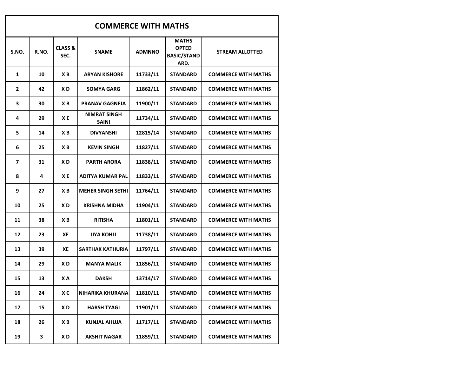| <b>COMMERCE WITH MATHS</b> |       |                            |                                     |               |                                                            |                            |  |  |  |
|----------------------------|-------|----------------------------|-------------------------------------|---------------|------------------------------------------------------------|----------------------------|--|--|--|
| S.NO.                      | R.NO. | <b>CLASS &amp;</b><br>SEC. | <b>SNAME</b>                        | <b>ADMNNO</b> | <b>MATHS</b><br><b>OPTED</b><br><b>BASIC/STAND</b><br>ARD. | <b>STREAM ALLOTTED</b>     |  |  |  |
| $\mathbf{1}$               | 10    | ХB                         | <b>ARYAN KISHORE</b>                | 11733/11      | <b>STANDARD</b>                                            | <b>COMMERCE WITH MATHS</b> |  |  |  |
| $\overline{2}$             | 42    | X D                        | <b>SOMYA GARG</b>                   | 11862/11      | <b>STANDARD</b>                                            | <b>COMMERCE WITH MATHS</b> |  |  |  |
| 3                          | 30    | ХB                         | <b>PRANAV GAGNEJA</b>               | 11900/11      | <b>STANDARD</b>                                            | <b>COMMERCE WITH MATHS</b> |  |  |  |
| 4                          | 29    | XE                         | <b>NIMRAT SINGH</b><br><b>SAINI</b> | 11734/11      | <b>STANDARD</b>                                            | <b>COMMERCE WITH MATHS</b> |  |  |  |
| 5                          | 14    | ХB                         | <b>DIVYANSHI</b>                    | 12815/14      | <b>STANDARD</b>                                            | <b>COMMERCE WITH MATHS</b> |  |  |  |
| 6                          | 25    | ХB                         | <b>KEVIN SINGH</b>                  | 11827/11      | <b>STANDARD</b>                                            | <b>COMMERCE WITH MATHS</b> |  |  |  |
| $\overline{7}$             | 31    | X D                        | <b>PARTH ARORA</b>                  | 11838/11      | <b>STANDARD</b>                                            | <b>COMMERCE WITH MATHS</b> |  |  |  |
| 8                          | 4     | XE                         | <b>ADITYA KUMAR PAL</b>             | 11833/11      | <b>STANDARD</b>                                            | <b>COMMERCE WITH MATHS</b> |  |  |  |
| 9                          | 27    | ХB                         | <b>MEHER SINGH SETHI</b>            | 11764/11      | <b>STANDARD</b>                                            | <b>COMMERCE WITH MATHS</b> |  |  |  |
| 10                         | 25    | XD                         | <b>KRISHNA MIDHA</b>                | 11904/11      | <b>STANDARD</b>                                            | <b>COMMERCE WITH MATHS</b> |  |  |  |
| 11                         | 38    | ХB                         | <b>RITISHA</b>                      | 11801/11      | <b>STANDARD</b>                                            | <b>COMMERCE WITH MATHS</b> |  |  |  |
| 12                         | 23    | XE                         | <b>JIYA KOHLI</b>                   | 11738/11      | <b>STANDARD</b>                                            | <b>COMMERCE WITH MATHS</b> |  |  |  |
| 13                         | 39    | XE                         | <b>SARTHAK KATHURIA</b>             | 11797/11      | <b>STANDARD</b>                                            | <b>COMMERCE WITH MATHS</b> |  |  |  |
| 14                         | 29    | XD                         | <b>MANYA MALIK</b>                  | 11856/11      | <b>STANDARD</b>                                            | <b>COMMERCE WITH MATHS</b> |  |  |  |
| 15                         | 13    | XА                         | <b>DAKSH</b>                        | 13714/17      | <b>STANDARD</b>                                            | <b>COMMERCE WITH MATHS</b> |  |  |  |
| 16                         | 24    | X C                        | <b>NIHARIKA KHURANA</b>             | 11810/11      | <b>STANDARD</b>                                            | <b>COMMERCE WITH MATHS</b> |  |  |  |
| 17                         | 15    | XD                         | <b>HARSH TYAGI</b>                  | 11901/11      | <b>STANDARD</b>                                            | <b>COMMERCE WITH MATHS</b> |  |  |  |
| 18                         | 26    | ХB                         | <b>KUNJAL AHUJA</b>                 | 11717/11      | <b>STANDARD</b>                                            | <b>COMMERCE WITH MATHS</b> |  |  |  |
| 19                         | 3     | X D                        | <b>AKSHIT NAGAR</b>                 | 11859/11      | <b>STANDARD</b>                                            | <b>COMMERCE WITH MATHS</b> |  |  |  |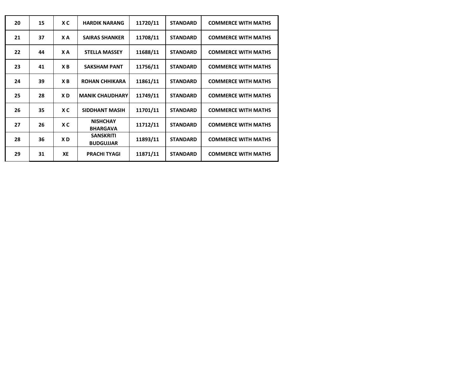| 20 | 15 | X C | <b>HARDIK NARANG</b>                 | 11720/11 | <b>STANDARD</b> | <b>COMMERCE WITH MATHS</b> |
|----|----|-----|--------------------------------------|----------|-----------------|----------------------------|
| 21 | 37 | X A | <b>SAIRAS SHANKER</b>                | 11708/11 | <b>STANDARD</b> | <b>COMMERCE WITH MATHS</b> |
| 22 | 44 | X A | <b>STELLA MASSEY</b>                 | 11688/11 | <b>STANDARD</b> | <b>COMMERCE WITH MATHS</b> |
| 23 | 41 | XB  | <b>SAKSHAM PANT</b>                  | 11756/11 | <b>STANDARD</b> | <b>COMMERCE WITH MATHS</b> |
| 24 | 39 | XB  | <b>ROHAN CHHIKARA</b>                | 11861/11 | <b>STANDARD</b> | <b>COMMERCE WITH MATHS</b> |
| 25 | 28 | XD  | <b>MANIK CHAUDHARY</b>               | 11749/11 | <b>STANDARD</b> | <b>COMMERCE WITH MATHS</b> |
| 26 | 35 | X C | SIDDHANT MASIH                       | 11701/11 | <b>STANDARD</b> | <b>COMMERCE WITH MATHS</b> |
| 27 | 26 | X C | <b>NISHCHAY</b><br><b>BHARGAVA</b>   | 11712/11 | <b>STANDARD</b> | <b>COMMERCE WITH MATHS</b> |
| 28 | 36 | XD. | <b>SANSKRITI</b><br><b>BUDGUJJAR</b> | 11893/11 | <b>STANDARD</b> | <b>COMMERCE WITH MATHS</b> |
| 29 | 31 | XE  | <b>PRACHI TYAGI</b>                  | 11871/11 | <b>STANDARD</b> | <b>COMMERCE WITH MATHS</b> |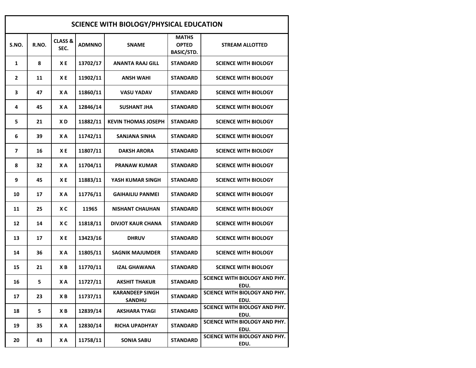| SCIENCE WITH BIOLOGY/PHYSICAL EDUCATION |       |                            |               |                                         |                                                   |                                       |  |  |  |
|-----------------------------------------|-------|----------------------------|---------------|-----------------------------------------|---------------------------------------------------|---------------------------------------|--|--|--|
| S.NO.                                   | R.NO. | <b>CLASS &amp;</b><br>SEC. | <b>ADMNNO</b> | <b>SNAME</b>                            | <b>MATHS</b><br><b>OPTED</b><br><b>BASIC/STD.</b> | <b>STREAM ALLOTTED</b>                |  |  |  |
| $\mathbf{1}$                            | 8     | ХE                         | 13702/17      | <b>ANANTA RAAJ GILL</b>                 | STANDARD                                          | <b>SCIENCE WITH BIOLOGY</b>           |  |  |  |
| 2                                       | 11    | ХE                         | 11902/11      | <b>ANSH WAHI</b>                        | STANDARD                                          | <b>SCIENCE WITH BIOLOGY</b>           |  |  |  |
| 3                                       | 47    | XA                         | 11860/11      | VASU YADAV                              | <b>STANDARD</b>                                   | <b>SCIENCE WITH BIOLOGY</b>           |  |  |  |
| 4                                       | 45    | XA                         | 12846/14      | <b>SUSHANT JHA</b>                      | STANDARD                                          | <b>SCIENCE WITH BIOLOGY</b>           |  |  |  |
| 5                                       | 21    | XD                         | 11882/11      | <b>KEVIN THOMAS JOSEPH</b>              | STANDARD                                          | <b>SCIENCE WITH BIOLOGY</b>           |  |  |  |
| 6                                       | 39    | XA                         | 11742/11      | SANJANA SINHA                           | STANDARD                                          | <b>SCIENCE WITH BIOLOGY</b>           |  |  |  |
| 7                                       | 16    | XE                         | 11807/11      | <b>DAKSH ARORA</b>                      | <b>STANDARD</b>                                   | <b>SCIENCE WITH BIOLOGY</b>           |  |  |  |
| 8                                       | 32    | X A                        | 11704/11      | <b>PRANAW KUMAR</b>                     | <b>STANDARD</b>                                   | <b>SCIENCE WITH BIOLOGY</b>           |  |  |  |
| 9                                       | 45    | XE                         | 11883/11      | YASH KUMAR SINGH                        | STANDARD                                          | <b>SCIENCE WITH BIOLOGY</b>           |  |  |  |
| 10                                      | 17    | XA                         | 11776/11      | <b>GAIHAILIU PANMEI</b>                 | STANDARD                                          | <b>SCIENCE WITH BIOLOGY</b>           |  |  |  |
| 11                                      | 25    | X C                        | 11965         | <b>NISHANT CHAUHAN</b>                  | STANDARD                                          | <b>SCIENCE WITH BIOLOGY</b>           |  |  |  |
| 12                                      | 14    | X C                        | 11818/11      | <b>DIVJOT KAUR CHANA</b>                | STANDARD                                          | <b>SCIENCE WITH BIOLOGY</b>           |  |  |  |
| 13                                      | 17    | XE                         | 13423/16      | <b>DHRUV</b>                            | STANDARD                                          | <b>SCIENCE WITH BIOLOGY</b>           |  |  |  |
| 14                                      | 36    | X A                        | 11805/11      | <b>SAGNIK MAJUMDER</b>                  | STANDARD                                          | <b>SCIENCE WITH BIOLOGY</b>           |  |  |  |
| 15                                      | 21    | XB                         | 11770/11      | <b>IZAL GHAWANA</b>                     | <b>STANDARD</b>                                   | <b>SCIENCE WITH BIOLOGY</b>           |  |  |  |
| 16                                      | 5     | X A                        | 11727/11      | <b>AKSHIT THAKUR</b>                    | <b>STANDARD</b>                                   | SCIENCE WITH BIOLOGY AND PHY.<br>EDU. |  |  |  |
| 17                                      | 23    | ХB                         | 11737/11      | <b>KARANDEEP SINGH</b><br><b>SANDHU</b> | <b>STANDARD</b>                                   | SCIENCE WITH BIOLOGY AND PHY.<br>EDU. |  |  |  |
| 18                                      | 5     | ХB                         | 12839/14      | <b>AKSHARA TYAGI</b>                    | <b>STANDARD</b>                                   | SCIENCE WITH BIOLOGY AND PHY.<br>EDU. |  |  |  |
| 19                                      | 35    | X A                        | 12830/14      | <b>RICHA UPADHYAY</b>                   | <b>STANDARD</b>                                   | SCIENCE WITH BIOLOGY AND PHY.<br>EDU. |  |  |  |
| 20                                      | 43    | ΧA                         | 11758/11      | <b>SONIA SABU</b>                       | <b>STANDARD</b>                                   | SCIENCE WITH BIOLOGY AND PHY.<br>EDU. |  |  |  |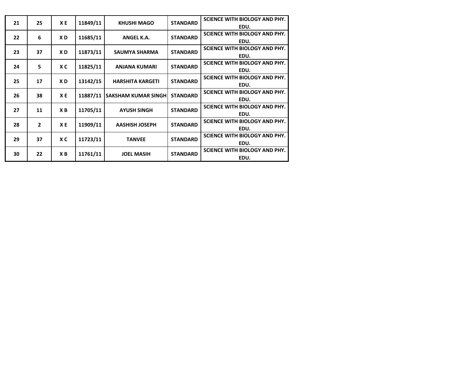| 21 | 25             | XE  | 11849/11 | <b>KHUSHI MAGO</b>         | <b>STANDARD</b> | SCIENCE WITH BIOLOGY AND PHY.<br>EDU. |
|----|----------------|-----|----------|----------------------------|-----------------|---------------------------------------|
|    |                |     |          |                            |                 | <b>SCIENCE WITH BIOLOGY AND PHY.</b>  |
| 22 | 6              | XD. | 11685/11 | ANGEL K.A.                 | <b>STANDARD</b> | EDU.                                  |
| 23 | 37             | XD  | 11873/11 | <b>SAUMYA SHARMA</b>       | <b>STANDARD</b> | <b>SCIENCE WITH BIOLOGY AND PHY.</b>  |
|    |                |     |          |                            |                 | EDU.                                  |
| 24 | 5              | X C | 11825/11 | <b>ANJANA KUMARI</b>       | <b>STANDARD</b> | <b>SCIENCE WITH BIOLOGY AND PHY.</b>  |
|    |                |     |          |                            |                 | EDU.                                  |
| 25 | 17             | XD  | 13142/15 | <b>HARSHITA KARGETI</b>    | <b>STANDARD</b> | <b>SCIENCE WITH BIOLOGY AND PHY.</b>  |
|    |                |     |          |                            |                 | EDU.                                  |
| 26 | 38             | ХE  | 11887/11 | <b>SAKSHAM KUMAR SINGH</b> | <b>STANDARD</b> | <b>SCIENCE WITH BIOLOGY AND PHY.</b>  |
|    |                |     |          |                            |                 | EDU.                                  |
| 27 | 11             | XВ  | 11705/11 | <b>AYUSH SINGH</b>         | <b>STANDARD</b> | <b>SCIENCE WITH BIOLOGY AND PHY.</b>  |
|    |                |     |          |                            |                 | EDU.                                  |
| 28 | $\overline{2}$ | XE  | 11909/11 | <b>AASHISH JOSEPH</b>      | <b>STANDARD</b> | SCIENCE WITH BIOLOGY AND PHY.         |
|    |                |     |          |                            |                 | EDU.                                  |
| 29 | 37             | X C | 11723/11 | <b>TANVEE</b>              | <b>STANDARD</b> | <b>SCIENCE WITH BIOLOGY AND PHY.</b>  |
|    |                |     |          |                            |                 | EDU.                                  |
| 30 | 22             | XВ  | 11761/11 | <b>JOEL MASIH</b>          | <b>STANDARD</b> | <b>SCIENCE WITH BIOLOGY AND PHY.</b>  |
|    |                |     |          |                            |                 | EDU.                                  |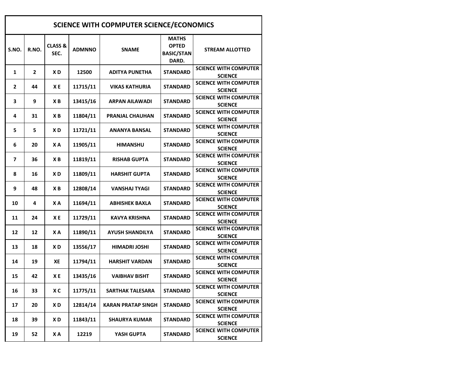| <b>SCIENCE WITH COPMPUTER SCIENCE/ECONOMICS</b> |                |                            |               |                           |                                                            |                                                |  |  |  |
|-------------------------------------------------|----------------|----------------------------|---------------|---------------------------|------------------------------------------------------------|------------------------------------------------|--|--|--|
| S.NO.                                           | R.NO.          | <b>CLASS &amp;</b><br>SEC. | <b>ADMNNO</b> | <b>SNAME</b>              | <b>MATHS</b><br><b>OPTED</b><br><b>BASIC/STAN</b><br>DARD. | <b>STREAM ALLOTTED</b>                         |  |  |  |
| 1                                               | $\overline{2}$ | XD                         | 12500         | <b>ADITYA PUNETHA</b>     | <b>STANDARD</b>                                            | <b>SCIENCE WITH COMPUTER</b><br><b>SCIENCE</b> |  |  |  |
| $\overline{2}$                                  | 44             | ХE                         | 11715/11      | <b>VIKAS KATHURIA</b>     | <b>STANDARD</b>                                            | <b>SCIENCE WITH COMPUTER</b><br><b>SCIENCE</b> |  |  |  |
| 3                                               | 9              | ХB                         | 13415/16      | <b>ARPAN AILAWADI</b>     | <b>STANDARD</b>                                            | <b>SCIENCE WITH COMPUTER</b><br><b>SCIENCE</b> |  |  |  |
| 4                                               | 31             | ХB                         | 11804/11      | <b>PRANJAL CHAUHAN</b>    | <b>STANDARD</b>                                            | <b>SCIENCE WITH COMPUTER</b><br><b>SCIENCE</b> |  |  |  |
| 5                                               | 5              | XD                         | 11721/11      | ANANYA BANSAL             | <b>STANDARD</b>                                            | <b>SCIENCE WITH COMPUTER</b><br><b>SCIENCE</b> |  |  |  |
| 6                                               | 20             | X A                        | 11905/11      | <b>HIMANSHU</b>           | <b>STANDARD</b>                                            | <b>SCIENCE WITH COMPUTER</b><br><b>SCIENCE</b> |  |  |  |
| 7                                               | 36             | ХB                         | 11819/11      | <b>RISHAB GUPTA</b>       | <b>STANDARD</b>                                            | <b>SCIENCE WITH COMPUTER</b><br><b>SCIENCE</b> |  |  |  |
| 8                                               | 16             | XD                         | 11809/11      | <b>HARSHIT GUPTA</b>      | <b>STANDARD</b>                                            | <b>SCIENCE WITH COMPUTER</b><br><b>SCIENCE</b> |  |  |  |
| 9                                               | 48             | XВ                         | 12808/14      | <b>VANSHAJ TYAGI</b>      | <b>STANDARD</b>                                            | <b>SCIENCE WITH COMPUTER</b><br><b>SCIENCE</b> |  |  |  |
| 10                                              | 4              | X A                        | 11694/11      | <b>ABHISHEK BAXLA</b>     | <b>STANDARD</b>                                            | <b>SCIENCE WITH COMPUTER</b><br><b>SCIENCE</b> |  |  |  |
| 11                                              | 24             | ХE                         | 11729/11      | <b>KAVYA KRISHNA</b>      | <b>STANDARD</b>                                            | <b>SCIENCE WITH COMPUTER</b><br><b>SCIENCE</b> |  |  |  |
| 12                                              | 12             | X A                        | 11890/11      | <b>AYUSH SHANDILYA</b>    | <b>STANDARD</b>                                            | <b>SCIENCE WITH COMPUTER</b><br><b>SCIENCE</b> |  |  |  |
| 13                                              | 18             | XD                         | 13556/17      | <b>HIMADRI JOSHI</b>      | <b>STANDARD</b>                                            | <b>SCIENCE WITH COMPUTER</b><br><b>SCIENCE</b> |  |  |  |
| 14                                              | 19             | ХE                         | 11794/11      | <b>HARSHIT VARDAN</b>     | <b>STANDARD</b>                                            | <b>SCIENCE WITH COMPUTER</b><br><b>SCIENCE</b> |  |  |  |
| 15                                              | 42             | XE                         | 13435/16      | <b>VAIBHAV BISHT</b>      | <b>STANDARD</b>                                            | <b>SCIENCE WITH COMPUTER</b><br><b>SCIENCE</b> |  |  |  |
| 16                                              | 33             | X C                        | 11775/11      | SARTHAK TALESARA          | <b>STANDARD</b>                                            | <b>SCIENCE WITH COMPUTER</b><br><b>SCIENCE</b> |  |  |  |
| 17                                              | 20             | X D                        | 12814/14      | <b>KARAN PRATAP SINGH</b> | STANDARD                                                   | <b>SCIENCE WITH COMPUTER</b><br><b>SCIENCE</b> |  |  |  |
| 18                                              | 39             | X D                        | 11843/11      | <b>SHAURYA KUMAR</b>      | STANDARD                                                   | <b>SCIENCE WITH COMPUTER</b><br><b>SCIENCE</b> |  |  |  |
| 19                                              | 52             | XА                         | 12219         | YASH GUPTA                | STANDARD                                                   | <b>SCIENCE WITH COMPUTER</b><br><b>SCIENCE</b> |  |  |  |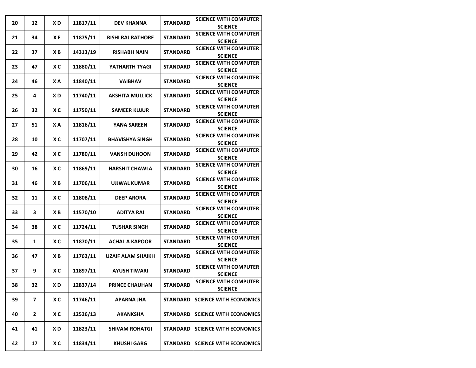| 20 | 12           | XD  | 11817/11 | <b>DEV KHANNA</b>           | <b>STANDARD</b> | <b>SCIENCE WITH COMPUTER</b>  |
|----|--------------|-----|----------|-----------------------------|-----------------|-------------------------------|
|    |              |     |          |                             |                 | <b>SCIENCE</b>                |
| 21 | 34           | XE  | 11875/11 | <b>RISHI RAJ RATHORE</b>    | <b>STANDARD</b> | <b>SCIENCE WITH COMPUTER</b>  |
|    |              |     |          |                             |                 | <b>SCIENCE</b>                |
| 22 | 37           | ХB  | 14313/19 | <b>RISHABH NAIN</b>         | <b>STANDARD</b> | <b>SCIENCE WITH COMPUTER</b>  |
|    |              |     |          |                             |                 | <b>SCIENCE</b>                |
| 23 | 47           | ХC  | 11880/11 | YATHARTH TYAGI              | <b>STANDARD</b> | <b>SCIENCE WITH COMPUTER</b>  |
|    |              |     |          |                             |                 | <b>SCIENCE</b>                |
| 24 | 46           | XA  | 11840/11 | <b>VAIBHAV</b>              | <b>STANDARD</b> | <b>SCIENCE WITH COMPUTER</b>  |
|    |              |     |          |                             |                 | <b>SCIENCE</b>                |
|    |              |     |          |                             |                 | <b>SCIENCE WITH COMPUTER</b>  |
| 25 | 4            | XD  | 11740/11 | <b>AKSHITA MULLICK</b>      | <b>STANDARD</b> | <b>SCIENCE</b>                |
|    |              |     |          |                             |                 | <b>SCIENCE WITH COMPUTER</b>  |
| 26 | 32           | XC  | 11750/11 | <b>SAMEER KUJUR</b>         | <b>STANDARD</b> | <b>SCIENCE</b>                |
|    |              |     |          |                             |                 | <b>SCIENCE WITH COMPUTER</b>  |
| 27 | 51           | X A | 11816/11 | <b>YANA SAREEN</b>          | <b>STANDARD</b> | <b>SCIENCE</b>                |
|    |              |     |          |                             |                 | <b>SCIENCE WITH COMPUTER</b>  |
| 28 | 10           | XC  | 11707/11 | <b>BHAVISHYA SINGH</b>      | <b>STANDARD</b> |                               |
|    |              |     |          |                             |                 | <b>SCIENCE</b>                |
| 29 | 42           | XC  | 11780/11 | <b>VANSH DUHOON</b>         | <b>STANDARD</b> | <b>SCIENCE WITH COMPUTER</b>  |
|    |              |     |          |                             |                 | <b>SCIENCE</b>                |
| 30 | 16           | XC  | 11869/11 | <b>HARSHIT CHAWLA</b>       | <b>STANDARD</b> | <b>SCIENCE WITH COMPUTER</b>  |
|    |              |     |          |                             |                 | <b>SCIENCE</b>                |
| 31 | 46           | ХB  | 11706/11 | <b>UJJWAL KUMAR</b>         | <b>STANDARD</b> | <b>SCIENCE WITH COMPUTER</b>  |
|    |              |     |          |                             |                 | <b>SCIENCE</b>                |
| 32 | 11           | XC  | 11808/11 | <b>DEEP ARORA</b>           | <b>STANDARD</b> | <b>SCIENCE WITH COMPUTER</b>  |
|    |              |     |          |                             |                 | <b>SCIENCE</b>                |
| 33 | 3            | XB  | 11570/10 | <b>ADITYA RAI</b>           | <b>STANDARD</b> | <b>SCIENCE WITH COMPUTER</b>  |
|    |              |     |          |                             |                 | <b>SCIENCE</b>                |
|    |              |     |          |                             |                 | <b>SCIENCE WITH COMPUTER</b>  |
| 34 | 38           | XC  | 11724/11 | <b>TUSHAR SINGH</b>         | <b>STANDARD</b> | <b>SCIENCE</b>                |
|    |              |     |          |                             |                 | <b>SCIENCE WITH COMPUTER</b>  |
| 35 | 1            | XC  | 11870/11 | <b>ACHAL A KAPOOR</b>       | <b>STANDARD</b> | <b>SCIENCE</b>                |
|    |              |     |          |                             |                 | <b>SCIENCE WITH COMPUTER</b>  |
| 36 | 47           | XB  | 11762/11 | <b>UZAIF ALAM SHAIKH</b>    | <b>STANDARD</b> | <b>SCIENCE</b>                |
|    |              |     |          |                             |                 | <b>SCIENCE WITH COMPUTER</b>  |
| 37 | 9            | XC  | 11897/11 | <b>AYUSH TIWARI</b>         | <b>STANDARD</b> | <b>SCIENCE</b>                |
|    |              |     |          |                             |                 | <b>SCIENCE WITH COMPUTER</b>  |
| 38 | 32           | XD  | 12837/14 | <b>PRINCE CHAUHAN</b>       | <b>STANDARD</b> |                               |
|    |              |     |          |                             |                 | <b>SCIENCE</b>                |
| 39 | 7            | XC  | 11746/11 | APARNA JHA                  | <b>STANDARD</b> | <b>SCIENCE WITH ECONOMICS</b> |
|    |              |     |          |                             |                 |                               |
| 40 | $\mathbf{2}$ | X C | 12526/13 | <b>STANDARD</b><br>AKANKSHA |                 | <b>SCIENCE WITH ECONOMICS</b> |
|    |              |     |          |                             |                 |                               |
| 41 | 41           | X D | 11823/11 | <b>SHIVAM ROHATGI</b>       | <b>STANDARD</b> | <b>SCIENCE WITH ECONOMICS</b> |
|    |              |     |          |                             |                 |                               |
| 42 | 17           | X C | 11834/11 | <b>KHUSHI GARG</b>          | <b>STANDARD</b> | <b>SCIENCE WITH ECONOMICS</b> |
|    |              |     |          |                             |                 |                               |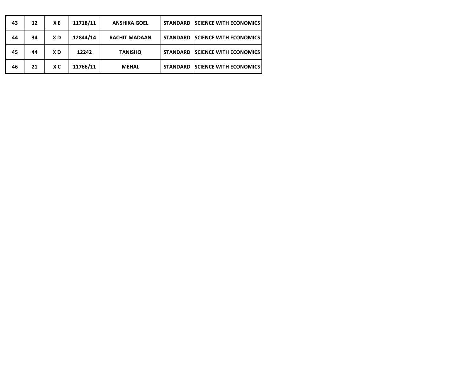| 43 | 12 | XE  | 11718/11 | <b>ANSHIKA GOEL</b>  | <b>STANDARD</b> | <b>SCIENCE WITH ECONOMICS</b> |
|----|----|-----|----------|----------------------|-----------------|-------------------------------|
| 44 | 34 | XD  | 12844/14 | <b>RACHIT MADAAN</b> | <b>STANDARD</b> | <b>SCIENCE WITH ECONOMICS</b> |
| 45 | 44 | XD  | 12242    | <b>TANISHO</b>       | <b>STANDARD</b> | <b>SCIENCE WITH ECONOMICS</b> |
| 46 | 21 | X C | 11766/11 | <b>MEHAL</b>         | <b>STANDARD</b> | <b>SCIENCE WITH ECONOMICS</b> |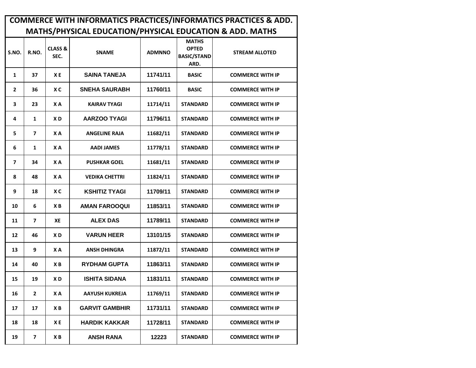|                | <b>COMMERCE WITH INFORMATICS PRACTICES/INFORMATICS PRACTICES &amp; ADD.</b> |                            |                       |               |                                                            |                         |  |  |  |  |  |  |
|----------------|-----------------------------------------------------------------------------|----------------------------|-----------------------|---------------|------------------------------------------------------------|-------------------------|--|--|--|--|--|--|
|                | MATHS/PHYSICAL EDUCATION/PHYSICAL EDUCATION & ADD. MATHS                    |                            |                       |               |                                                            |                         |  |  |  |  |  |  |
| S.NO.          | R.NO.                                                                       | <b>CLASS &amp;</b><br>SEC. | <b>SNAME</b>          | <b>ADMNNO</b> | <b>MATHS</b><br><b>OPTED</b><br><b>BASIC/STAND</b><br>ARD. | <b>STREAM ALLOTED</b>   |  |  |  |  |  |  |
| 1              | 37                                                                          | X <sub>E</sub>             | <b>SAINA TANEJA</b>   | 11741/11      | <b>BASIC</b>                                               | <b>COMMERCE WITH IP</b> |  |  |  |  |  |  |
| $\overline{2}$ | 36                                                                          | X <sub>C</sub>             | <b>SNEHA SAURABH</b>  | 11760/11      | <b>BASIC</b>                                               | <b>COMMERCE WITH IP</b> |  |  |  |  |  |  |
| 3              | 23                                                                          | X A                        | KAIRAV TYAGI          | 11714/11      | <b>STANDARD</b>                                            | <b>COMMERCE WITH IP</b> |  |  |  |  |  |  |
| 4              | 1                                                                           | XD                         | AARZOO TYAGI          | 11796/11      | <b>STANDARD</b>                                            | <b>COMMERCE WITH IP</b> |  |  |  |  |  |  |
| 5              | $\overline{\phantom{a}}$                                                    | XA                         | <b>ANGELINE RAJA</b>  | 11682/11      | <b>STANDARD</b>                                            | <b>COMMERCE WITH IP</b> |  |  |  |  |  |  |
| 6              | 1                                                                           | XA                         | <b>AADI JAMES</b>     | 11778/11      | <b>STANDARD</b>                                            | <b>COMMERCE WITH IP</b> |  |  |  |  |  |  |
| 7              | 34                                                                          | X A                        | <b>PUSHKAR GOEL</b>   | 11681/11      | <b>STANDARD</b>                                            | <b>COMMERCE WITH IP</b> |  |  |  |  |  |  |
| 8              | 48                                                                          | X A                        | <b>VEDIKA CHETTRI</b> | 11824/11      | <b>STANDARD</b>                                            | <b>COMMERCE WITH IP</b> |  |  |  |  |  |  |
| 9              | 18                                                                          | X C                        | <b>KSHITIZ TYAGI</b>  | 11709/11      | <b>STANDARD</b>                                            | <b>COMMERCE WITH IP</b> |  |  |  |  |  |  |
| 10             | 6                                                                           | XB                         | <b>AMAN FAROOQUI</b>  | 11853/11      | <b>STANDARD</b>                                            | <b>COMMERCE WITH IP</b> |  |  |  |  |  |  |
| 11             | $\overline{ }$                                                              | XE                         | <b>ALEX DAS</b>       | 11789/11      | <b>STANDARD</b>                                            | <b>COMMERCE WITH IP</b> |  |  |  |  |  |  |
| 12             | 46                                                                          | XD                         | <b>VARUN HEER</b>     | 13101/15      | <b>STANDARD</b>                                            | <b>COMMERCE WITH IP</b> |  |  |  |  |  |  |
| 13             | 9                                                                           | X A                        | <b>ANSH DHINGRA</b>   | 11872/11      | <b>STANDARD</b>                                            | <b>COMMERCE WITH IP</b> |  |  |  |  |  |  |
| 14             | 40                                                                          | XB                         | <b>RYDHAM GUPTA</b>   | 11863/11      | <b>STANDARD</b>                                            | <b>COMMERCE WITH IP</b> |  |  |  |  |  |  |
| 15             | 19                                                                          | XD                         | <b>ISHITA SIDANA</b>  | 11831/11      | <b>STANDARD</b>                                            | <b>COMMERCE WITH IP</b> |  |  |  |  |  |  |
| 16             | $\mathbf{2}$                                                                | X A                        | AAYUSH KUKREJA        | 11769/11      | <b>STANDARD</b>                                            | <b>COMMERCE WITH IP</b> |  |  |  |  |  |  |
| 17             | 17                                                                          | ХB                         | <b>GARVIT GAMBHIR</b> | 11731/11      | <b>STANDARD</b>                                            | <b>COMMERCE WITH IP</b> |  |  |  |  |  |  |
| 18             | 18                                                                          | XE                         | <b>HARDIK KAKKAR</b>  | 11728/11      | <b>STANDARD</b>                                            | <b>COMMERCE WITH IP</b> |  |  |  |  |  |  |
| 19             | $\overline{\mathbf{z}}$                                                     | ХB                         | <b>ANSH RANA</b>      | 12223         | <b>STANDARD</b>                                            | <b>COMMERCE WITH IP</b> |  |  |  |  |  |  |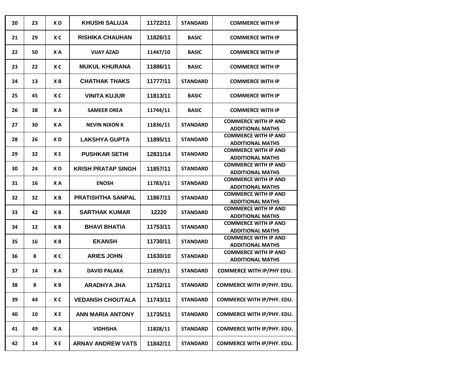| 20 | 23 | X <sub>D</sub> | <b>KHUSHI SALUJA</b>      | 11722/11 | <b>STANDARD</b> | <b>COMMERCE WITH IP</b>                                |
|----|----|----------------|---------------------------|----------|-----------------|--------------------------------------------------------|
| 21 | 29 | X <sub>C</sub> | <b>RISHIKA CHAUHAN</b>    | 11826/11 | <b>BASIC</b>    | <b>COMMERCE WITH IP</b>                                |
| 22 | 50 | X A            | <b>VIJAY AZAD</b>         | 11447/10 | <b>BASIC</b>    | <b>COMMERCE WITH IP</b>                                |
| 23 | 22 | X <sub>C</sub> | <b>MUKUL KHURANA</b>      | 11886/11 | <b>BASIC</b>    | <b>COMMERCE WITH IP</b>                                |
| 24 | 13 | ХB             | <b>CHATHAK THAKS</b>      | 11777/11 | <b>STANDARD</b> | <b>COMMERCE WITH IP</b>                                |
| 25 | 45 | X <sub>C</sub> | <b>VINITA KUJUR</b>       | 11813/11 | <b>BASIC</b>    | <b>COMMERCE WITH IP</b>                                |
| 26 | 38 | XA             | <b>SAMEER OREA</b>        | 11744/11 | <b>BASIC</b>    | <b>COMMERCE WITH IP</b>                                |
| 27 | 30 | X A            | <b>NEVIN NIXON K</b>      | 11836/11 | <b>STANDARD</b> | <b>COMMERCE WITH IP AND</b><br><b>ADDITIONAL MATHS</b> |
| 28 | 26 | X <sub>D</sub> | <b>LAKSHYA GUPTA</b>      | 11895/11 | <b>STANDARD</b> | <b>COMMERCE WITH IP AND</b><br><b>ADDITIONAL MATHS</b> |
| 29 | 32 | X <sub>E</sub> | <b>PUSHKAR SETHI</b>      | 12831/14 | <b>STANDARD</b> | <b>COMMERCE WITH IP AND</b><br><b>ADDITIONAL MATHS</b> |
| 30 | 24 | X <sub>D</sub> | <b>KRISH PRATAP SINGH</b> | 11857/11 | <b>STANDARD</b> | <b>COMMERCE WITH IP AND</b><br><b>ADDITIONAL MATHS</b> |
| 31 | 16 | XA             | <b>ENOSH</b>              | 11783/11 | <b>STANDARD</b> | <b>COMMERCE WITH IP AND</b><br><b>ADDITIONAL MATHS</b> |
| 32 | 32 | XB             | <b>PRATISHTHA SANPAL</b>  | 11867/11 | <b>STANDARD</b> | <b>COMMERCE WITH IP AND</b><br><b>ADDITIONAL MATHS</b> |
| 33 | 42 | X <sub>B</sub> | <b>SARTHAK KUMAR</b>      | 12220    | <b>STANDARD</b> | <b>COMMERCE WITH IP AND</b><br><b>ADDITIONAL MATHS</b> |
| 34 | 12 | X <sub>B</sub> | <b>BHAVI BHATIA</b>       | 11753/11 | <b>STANDARD</b> | <b>COMMERCE WITH IP AND</b><br><b>ADDITIONAL MATHS</b> |
| 35 | 16 | X <sub>B</sub> | <b>EKANSH</b>             | 11730/11 | <b>STANDARD</b> | <b>COMMERCE WITH IP AND</b><br><b>ADDITIONAL MATHS</b> |
| 36 | 8  | X C            | <b>ARIES JOHN</b>         | 11630/10 | <b>STANDARD</b> | <b>COMMERCE WITH IP AND</b><br><b>ADDITIONAL MATHS</b> |
| 37 | 14 | XA             | <b>DAVID PALAKA</b>       | 11839/11 | <b>STANDARD</b> | <b>COMMERCE WITH IP/PHY EDU.</b>                       |
| 38 | 8  | XB             | <b>ARADHYA JHA</b>        | 11752/11 | <b>STANDARD</b> | <b>COMMERCE WITH IP/PHY. EDU.</b>                      |
| 39 | 44 | X C            | <b>VEDANSH CHOUTALA</b>   | 11743/11 | <b>STANDARD</b> | <b>COMMERCE WITH IP/PHY. EDU.</b>                      |
| 40 | 10 | X E            | <b>ANN MARIA ANTONY</b>   | 11735/11 | <b>STANDARD</b> | <b>COMMERCE WITH IP/PHY. EDU.</b>                      |
| 41 | 49 | ΧA             | <b>VIDHISHA</b>           | 11828/11 | <b>STANDARD</b> | <b>COMMERCE WITH IP/PHY. EDU.</b>                      |
| 42 | 14 | XE             | <b>ARNAV ANDREW VATS</b>  | 11842/11 | <b>STANDARD</b> | <b>COMMERCE WITH IP/PHY. EDU.</b>                      |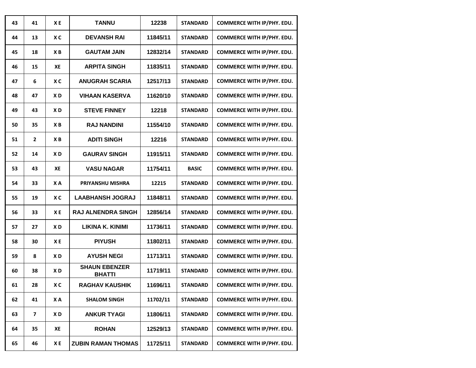| 43 | 41                      | ХE             | <b>TANNU</b>                          | 12238    | <b>STANDARD</b> | <b>COMMERCE WITH IP/PHY. EDU.</b> |
|----|-------------------------|----------------|---------------------------------------|----------|-----------------|-----------------------------------|
| 44 | 13                      | X <sub>C</sub> | <b>DEVANSH RAI</b>                    | 11845/11 | <b>STANDARD</b> | <b>COMMERCE WITH IP/PHY. EDU.</b> |
| 45 | 18                      | X <sub>B</sub> | <b>GAUTAM JAIN</b>                    | 12832/14 | <b>STANDARD</b> | <b>COMMERCE WITH IP/PHY. EDU.</b> |
| 46 | 15                      | XE             | <b>ARPITA SINGH</b>                   | 11835/11 | <b>STANDARD</b> | COMMERCE WITH IP/PHY. EDU.        |
| 47 | 6                       | X <sub>C</sub> | <b>ANUGRAH SCARIA</b>                 | 12517/13 | <b>STANDARD</b> | <b>COMMERCE WITH IP/PHY. EDU.</b> |
| 48 | 47                      | X <sub>D</sub> | <b>VIHAAN KASERVA</b>                 | 11620/10 | <b>STANDARD</b> | COMMERCE WITH IP/PHY. EDU.        |
| 49 | 43                      | X <sub>D</sub> | <b>STEVE FINNEY</b>                   | 12218    | <b>STANDARD</b> | <b>COMMERCE WITH IP/PHY. EDU.</b> |
| 50 | 35                      | ХB             | <b>RAJ NANDINI</b>                    | 11554/10 | <b>STANDARD</b> | COMMERCE WITH IP/PHY. EDU.        |
| 51 | $\overline{2}$          | X <sub>B</sub> | <b>ADITI SINGH</b>                    | 12216    | <b>STANDARD</b> | COMMERCE WITH IP/PHY. EDU.        |
| 52 | 14                      | X <sub>D</sub> | <b>GAURAV SINGH</b>                   | 11915/11 | <b>STANDARD</b> | <b>COMMERCE WITH IP/PHY. EDU.</b> |
| 53 | 43                      | XE             | <b>VASU NAGAR</b>                     | 11754/11 | <b>BASIC</b>    | <b>COMMERCE WITH IP/PHY. EDU.</b> |
| 54 | 33                      | <b>XA</b>      | PRIYANSHU MISHRA                      | 12215    | <b>STANDARD</b> | <b>COMMERCE WITH IP/PHY. EDU.</b> |
| 55 | 19                      | X <sub>C</sub> | <b>LAABHANSH JOGRAJ</b>               | 11848/11 | <b>STANDARD</b> | <b>COMMERCE WITH IP/PHY. EDU.</b> |
| 56 | 33                      | X <sub>E</sub> | <b>RAJ ALNENDRA SINGH</b>             | 12856/14 | <b>STANDARD</b> | <b>COMMERCE WITH IP/PHY. EDU.</b> |
| 57 | 27                      | X <sub>D</sub> | LIKINA K. KINIMI                      | 11736/11 | <b>STANDARD</b> | COMMERCE WITH IP/PHY. EDU.        |
| 58 | 30                      | XE             | <b>PIYUSH</b>                         | 11802/11 | <b>STANDARD</b> | COMMERCE WITH IP/PHY. EDU.        |
| 59 | 8                       | XD             | <b>AYUSH NEGI</b>                     | 11713/11 | <b>STANDARD</b> | COMMERCE WITH IP/PHY. EDU.        |
| 60 | 38                      | XD             | <b>SHAUN EBENZER</b><br><b>BHATTI</b> | 11719/11 | <b>STANDARD</b> | <b>COMMERCE WITH IP/PHY. EDU.</b> |
| 61 | 28                      | XC             | <b>RAGHAV KAUSHIK</b>                 | 11696/11 | <b>STANDARD</b> | COMMERCE WITH IP/PHY. EDU.        |
| 62 | 41                      | ΧA             | <b>SHALOM SINGH</b>                   | 11702/11 | <b>STANDARD</b> | <b>COMMERCE WITH IP/PHY. EDU.</b> |
| 63 | $\overline{\mathbf{z}}$ | X D            | <b>ANKUR TYAGI</b>                    | 11806/11 | <b>STANDARD</b> | <b>COMMERCE WITH IP/PHY. EDU.</b> |
| 64 | 35                      | XE             | <b>ROHAN</b>                          | 12529/13 | <b>STANDARD</b> | <b>COMMERCE WITH IP/PHY. EDU.</b> |
| 65 | 46                      | XE             | <b>ZUBIN RAMAN THOMAS</b>             | 11725/11 | <b>STANDARD</b> | <b>COMMERCE WITH IP/PHY. EDU.</b> |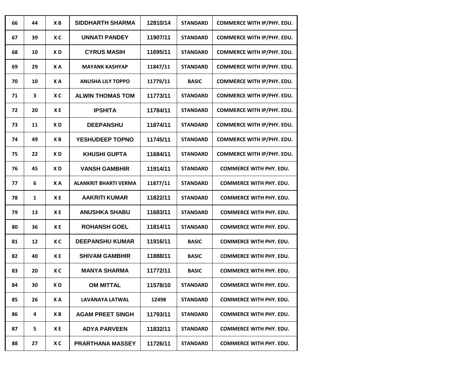| 66 | 44           | XB             | <b>SIDDHARTH SHARMA</b>  | 12810/14 | <b>STANDARD</b> | COMMERCE WITH IP/PHY. EDU.        |
|----|--------------|----------------|--------------------------|----------|-----------------|-----------------------------------|
| 67 | 39           | XC             | <b>UNNATI PANDEY</b>     | 11907/11 | <b>STANDARD</b> | COMMERCE WITH IP/PHY. EDU.        |
| 68 | 10           | XD             | <b>CYRUS MASIH</b>       | 11695/11 | <b>STANDARD</b> | COMMERCE WITH IP/PHY. EDU.        |
| 69 | 29           | XA             | <b>MAYANK KASHYAP</b>    | 11847/11 | <b>STANDARD</b> | COMMERCE WITH IP/PHY. EDU.        |
| 70 | 10           | XA             | <b>ANUSHA LILY TOPPO</b> | 11779/11 | <b>BASIC</b>    | <b>COMMERCE WITH IP/PHY. EDU.</b> |
| 71 | 3            | X <sub>C</sub> | <b>ALWIN THOMAS TOM</b>  | 11773/11 | <b>STANDARD</b> | COMMERCE WITH IP/PHY. EDU.        |
| 72 | 20           | X <sub>E</sub> | <b>IPSHITA</b>           | 11784/11 | <b>STANDARD</b> | COMMERCE WITH IP/PHY. EDU.        |
| 73 | 11           | XD             | <b>DEEPANSHU</b>         | 11874/11 | <b>STANDARD</b> | COMMERCE WITH IP/PHY. EDU.        |
| 74 | 49           | X <sub>B</sub> | YESHUDEEP TOPNO          | 11745/11 | <b>STANDARD</b> | COMMERCE WITH IP/PHY. EDU.        |
| 75 | 22           | XD             | <b>KHUSHI GUPTA</b>      | 11684/11 | <b>STANDARD</b> | <b>COMMERCE WITH IP/PHY. EDU.</b> |
| 76 | 45           | X <sub>D</sub> | <b>VANSH GAMBHIR</b>     | 11914/11 | <b>STANDARD</b> | <b>COMMERCE WITH PHY. EDU.</b>    |
| 77 | 6            | XA             | ALANKRIT BHARTI VERMA    | 11877/11 | <b>STANDARD</b> | <b>COMMERCE WITH PHY. EDU.</b>    |
| 78 | $\mathbf{1}$ | XE             | <b>AAKRITI KUMAR</b>     | 11822/11 | <b>STANDARD</b> | <b>COMMERCE WITH PHY. EDU.</b>    |
| 79 | 13           | XE             | <b>ANUSHKA SHABU</b>     | 11683/11 | <b>STANDARD</b> | <b>COMMERCE WITH PHY. EDU.</b>    |
| 80 | 36           | XE             | <b>ROHANSH GOEL</b>      | 11814/11 | <b>STANDARD</b> | <b>COMMERCE WITH PHY. EDU.</b>    |
| 81 | 12           | XC             | <b>DEEPANSHU KUMAR</b>   | 11916/11 | <b>BASIC</b>    | <b>COMMERCE WITH PHY. EDU.</b>    |
| 82 | 40           | XE             | <b>SHIVAM GAMBHIR</b>    | 11888/11 | <b>BASIC</b>    | <b>COMMERCE WITH PHY. EDU.</b>    |
| 83 | 20           | XC             | <b>MANYA SHARMA</b>      | 11772/11 | <b>BASIC</b>    | <b>COMMERCE WITH PHY. EDU.</b>    |
| 84 | 30           | XD             | <b>OM MITTAL</b>         | 11578/10 | <b>STANDARD</b> | <b>COMMERCE WITH PHY. EDU.</b>    |
| 85 | 26           | X A            | LAVANAYA LATWAL          | 12498    | <b>STANDARD</b> | <b>COMMERCE WITH PHY. EDU.</b>    |
| 86 | 4            | ХB             | <b>AGAM PREET SINGH</b>  | 11793/11 | <b>STANDARD</b> | <b>COMMERCE WITH PHY. EDU.</b>    |
| 87 | 5            | ΧE             | <b>ADYA PARVEEN</b>      | 11832/11 | <b>STANDARD</b> | <b>COMMERCE WITH PHY. EDU.</b>    |
| 88 | 27           | X C            | <b>PRARTHANA MASSEY</b>  | 11726/11 | <b>STANDARD</b> | <b>COMMERCE WITH PHY. EDU.</b>    |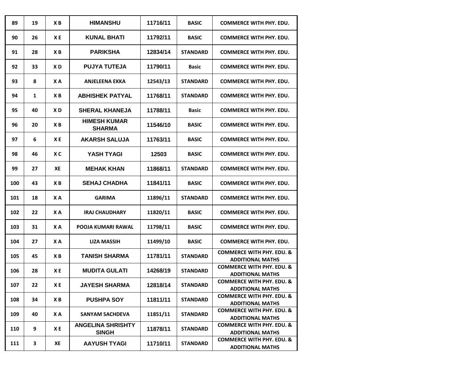| 89  | 19 | XB             | <b>HIMANSHU</b>                          | 11716/11 | <b>BASIC</b>    | <b>COMMERCE WITH PHY. EDU.</b>                                  |
|-----|----|----------------|------------------------------------------|----------|-----------------|-----------------------------------------------------------------|
| 90  | 26 | XE             | <b>KUNAL BHATI</b>                       | 11792/11 | <b>BASIC</b>    | <b>COMMERCE WITH PHY. EDU.</b>                                  |
| 91  | 28 | ХB             | <b>PARIKSHA</b>                          | 12834/14 | <b>STANDARD</b> | <b>COMMERCE WITH PHY. EDU.</b>                                  |
| 92  | 33 | XD             | <b>PUJYA TUTEJA</b>                      | 11790/11 | <b>Basic</b>    | <b>COMMERCE WITH PHY. EDU.</b>                                  |
| 93  | 8  | XA             | <b>ANJELEENA EKKA</b>                    | 12543/13 | <b>STANDARD</b> | <b>COMMERCE WITH PHY. EDU.</b>                                  |
| 94  | 1  | XB             | <b>ABHISHEK PATYAL</b>                   | 11768/11 | <b>STANDARD</b> | COMMERCE WITH PHY. EDU.                                         |
| 95  | 40 | XD             | <b>SHERAL KHANEJA</b>                    | 11788/11 | <b>Basic</b>    | <b>COMMERCE WITH PHY. EDU.</b>                                  |
| 96  | 20 | XB             | <b>HIMESH KUMAR</b><br><b>SHARMA</b>     | 11546/10 | <b>BASIC</b>    | <b>COMMERCE WITH PHY. EDU.</b>                                  |
| 97  | 6  | X E            | <b>AKARSH SALUJA</b>                     | 11763/11 | <b>BASIC</b>    | <b>COMMERCE WITH PHY. EDU.</b>                                  |
| 98  | 46 | X <sub>C</sub> | YASH TYAGI                               | 12503    | <b>BASIC</b>    | <b>COMMERCE WITH PHY. EDU.</b>                                  |
| 99  | 27 | <b>XE</b>      | <b>MEHAK KHAN</b>                        | 11868/11 | <b>STANDARD</b> | <b>COMMERCE WITH PHY. EDU.</b>                                  |
| 100 | 43 | ХB             | <b>SEHAJ CHADHA</b>                      | 11841/11 | <b>BASIC</b>    | <b>COMMERCE WITH PHY. EDU.</b>                                  |
| 101 | 18 | XA             | <b>GARIMA</b>                            | 11896/11 | <b>STANDARD</b> | <b>COMMERCE WITH PHY. EDU.</b>                                  |
| 102 | 22 | XA             | <b>IRAJ CHAUDHARY</b>                    | 11820/11 | <b>BASIC</b>    | <b>COMMERCE WITH PHY. EDU.</b>                                  |
| 103 | 31 | XA             | POOJA KUMARI RAWAL                       | 11798/11 | <b>BASIC</b>    | <b>COMMERCE WITH PHY. EDU.</b>                                  |
| 104 | 27 | <b>XA</b>      | LIZA MASSIH                              | 11499/10 | <b>BASIC</b>    | <b>COMMERCE WITH PHY. EDU.</b>                                  |
| 105 | 45 | XB             | <b>TANISH SHARMA</b>                     | 11781/11 | <b>STANDARD</b> | <b>COMMERCE WITH PHY, EDU, &amp;</b><br><b>ADDITIONAL MATHS</b> |
| 106 | 28 | X E            | <b>MUDITA GULATI</b>                     | 14268/19 | <b>STANDARD</b> | <b>COMMERCE WITH PHY, EDU, &amp;</b><br><b>ADDITIONAL MATHS</b> |
| 107 | 22 | XE             | <b>JAYESH SHARMA</b>                     | 12818/14 | <b>STANDARD</b> | <b>COMMERCE WITH PHY. EDU. &amp;</b><br><b>ADDITIONAL MATHS</b> |
| 108 | 34 | XB             | <b>PUSHPA SOY</b>                        | 11811/11 | <b>STANDARD</b> | <b>COMMERCE WITH PHY. EDU. &amp;</b><br><b>ADDITIONAL MATHS</b> |
| 109 | 40 | X A            | <b>SANYAM SACHDEVA</b>                   | 11851/11 | <b>STANDARD</b> | <b>COMMERCE WITH PHY. EDU. &amp;</b><br><b>ADDITIONAL MATHS</b> |
| 110 | 9  | X E            | <b>ANGELINA SHRISHTY</b><br><b>SINGH</b> | 11878/11 | <b>STANDARD</b> | <b>COMMERCE WITH PHY. EDU. &amp;</b><br><b>ADDITIONAL MATHS</b> |
| 111 | 3  | XE             | <b>AAYUSH TYAGI</b>                      | 11710/11 | <b>STANDARD</b> | <b>COMMERCE WITH PHY. EDU. &amp;</b><br><b>ADDITIONAL MATHS</b> |